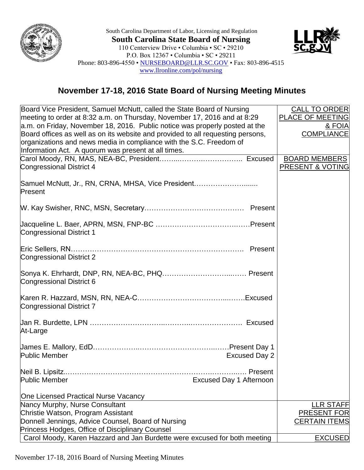

South Carolina Department of Labor, Licensing and Regulation **South Carolina State Board of Nursing** 110 Centerview Drive • Columbia • SC • 29210 P.O. Box 12367 • Columbia • SC • 29211 Phone: 803-896-4550 • [NURSEBOARD@LLR.SC.GOV](mailto:NURSEBOARD@LLR.SC.GOV) • Fax: 803-896-4515 [www.llronline.com/pol/nursing](http://www.llronline.com/pol/nursing)



## **November 17-18, 2016 State Board of Nursing Meeting Minutes**

| Board Vice President, Samuel McNutt, called the State Board of Nursing          | <b>CALL TO ORDER</b>    |
|---------------------------------------------------------------------------------|-------------------------|
| meeting to order at 8:32 a.m. on Thursday, November 17, 2016 and at 8:29        | <b>PLACE OF MEETING</b> |
| a.m. on Friday, November 18, 2016. Public notice was properly posted at the     | & FOIA                  |
| Board offices as well as on its website and provided to all requesting persons, | <b>COMPLIANCE</b>       |
| organizations and news media in compliance with the S.C. Freedom of             |                         |
| Information Act. A quorum was present at all times.                             |                         |
|                                                                                 | <b>BOARD MEMBERS</b>    |
| <b>Congressional District 4</b>                                                 | PRESENT & VOTING        |
|                                                                                 |                         |
| Samuel McNutt, Jr., RN, CRNA, MHSA, Vice President<br>Present                   |                         |
|                                                                                 |                         |
| <b>Congressional District 1</b>                                                 |                         |
|                                                                                 |                         |
| Congressional District 2                                                        |                         |
| Congressional District 6                                                        |                         |
| Congressional District 7                                                        |                         |
|                                                                                 |                         |
| At-Large                                                                        |                         |
|                                                                                 |                         |
| <b>Public Member</b><br><b>Excused Day 2</b>                                    |                         |
|                                                                                 |                         |
| <b>Public Member</b><br><b>Excused Day 1 Afternoon</b>                          |                         |
| One Licensed Practical Nurse Vacancy                                            |                         |
| Nancy Murphy, Nurse Consultant                                                  | <b>LLR STAFF</b>        |
| Christie Watson, Program Assistant                                              | <b>PRESENT FOR</b>      |
| Donnell Jennings, Advice Counsel, Board of Nursing                              | <b>CERTAIN ITEMS</b>    |
| Princess Hodges, Office of Disciplinary Counsel                                 |                         |
| Carol Moody, Karen Hazzard and Jan Burdette were excused for both meeting       | <b>EXCUSED</b>          |

November 17-18, 2016 Board of Nursing Meeting Minutes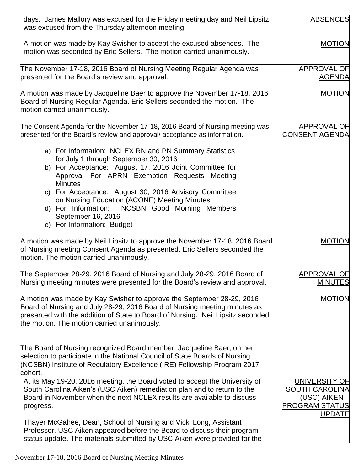| days. James Mallory was excused for the Friday meeting day and Neil Lipsitz<br>was excused from the Thursday afternoon meeting.                                                                                                                                                                                                                                                                                                                      | <b>ABSENCES</b>                                                                                          |
|------------------------------------------------------------------------------------------------------------------------------------------------------------------------------------------------------------------------------------------------------------------------------------------------------------------------------------------------------------------------------------------------------------------------------------------------------|----------------------------------------------------------------------------------------------------------|
| A motion was made by Kay Swisher to accept the excused absences. The<br>motion was seconded by Eric Sellers. The motion carried unanimously.                                                                                                                                                                                                                                                                                                         | <b>MOTION</b>                                                                                            |
| The November 17-18, 2016 Board of Nursing Meeting Regular Agenda was<br>presented for the Board's review and approval.                                                                                                                                                                                                                                                                                                                               | APPROVAL OF<br><b>AGENDA</b>                                                                             |
| A motion was made by Jacqueline Baer to approve the November 17-18, 2016<br>Board of Nursing Regular Agenda. Eric Sellers seconded the motion. The<br>motion carried unanimously.                                                                                                                                                                                                                                                                    | <b>MOTION</b>                                                                                            |
| The Consent Agenda for the November 17-18, 2016 Board of Nursing meeting was<br>presented for the Board's review and approval/acceptance as information.                                                                                                                                                                                                                                                                                             | APPROVAL OF<br><b>CONSENT AGENDA</b>                                                                     |
| a) For Information: NCLEX RN and PN Summary Statistics<br>for July 1 through September 30, 2016<br>b) For Acceptance: August 17, 2016 Joint Committee for<br>Approval For APRN Exemption Requests Meeting<br><b>Minutes</b><br>c) For Acceptance: August 30, 2016 Advisory Committee<br>on Nursing Education (ACONE) Meeting Minutes<br>d) For Information:<br><b>NCSBN Good Morning Members</b><br>September 16, 2016<br>e) For Information: Budget |                                                                                                          |
| A motion was made by Neil Lipsitz to approve the November 17-18, 2016 Board<br>of Nursing meeting Consent Agenda as presented. Eric Sellers seconded the<br>motion. The motion carried unanimously.                                                                                                                                                                                                                                                  | <b>MOTION</b>                                                                                            |
| The September 28-29, 2016 Board of Nursing and July 28-29, 2016 Board of<br>Nursing meeting minutes were presented for the Board's review and approval.                                                                                                                                                                                                                                                                                              | <b>APPROVAL OF</b><br><b>MINUTES</b>                                                                     |
| A motion was made by Kay Swisher to approve the September 28-29, 2016<br>Board of Nursing and July 28-29, 2016 Board of Nursing meeting minutes as<br>presented with the addition of State to Board of Nursing. Neil Lipsitz seconded<br>the motion. The motion carried unanimously.                                                                                                                                                                 | <b>MOTION</b>                                                                                            |
| The Board of Nursing recognized Board member, Jacqueline Baer, on her<br>selection to participate in the National Council of State Boards of Nursing<br>(NCSBN) Institute of Regulatory Excellence (IRE) Fellowship Program 2017<br>cohort.                                                                                                                                                                                                          |                                                                                                          |
| At its May 19-20, 2016 meeting, the Board voted to accept the University of<br>South Carolina Aiken's (USC Aiken) remediation plan and to return to the<br>Board in November when the next NCLEX results are available to discuss<br>progress.                                                                                                                                                                                                       | <b>UNIVERSITY OF</b><br><b>SOUTH CAROLINA</b><br>(USC) AIKEN -<br><b>PROGRAM STATUS</b><br><b>UPDATE</b> |
| Thayer McGahee, Dean, School of Nursing and Vicki Long, Assistant<br>Professor, USC Aiken appeared before the Board to discuss their program<br>status update. The materials submitted by USC Aiken were provided for the                                                                                                                                                                                                                            |                                                                                                          |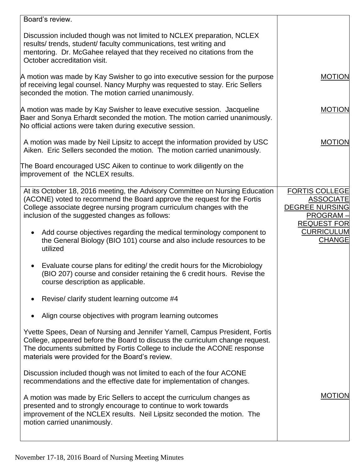| Board's review.                                                                                                                                                                                                                                                                            |                                                                                                      |
|--------------------------------------------------------------------------------------------------------------------------------------------------------------------------------------------------------------------------------------------------------------------------------------------|------------------------------------------------------------------------------------------------------|
| Discussion included though was not limited to NCLEX preparation, NCLEX<br>results/ trends, student/ faculty communications, test writing and<br>mentoring. Dr. McGahee relayed that they received no citations from the<br>October accreditation visit.                                    |                                                                                                      |
| A motion was made by Kay Swisher to go into executive session for the purpose<br>of receiving legal counsel. Nancy Murphy was requested to stay. Eric Sellers<br>seconded the motion. The motion carried unanimously.                                                                      | <b>MOTION</b>                                                                                        |
| A motion was made by Kay Swisher to leave executive session. Jacqueline<br>Baer and Sonya Erhardt seconded the motion. The motion carried unanimously.<br>No official actions were taken during executive session.                                                                         | <b>MOTION</b>                                                                                        |
| A motion was made by Neil Lipsitz to accept the information provided by USC<br>Aiken. Eric Sellers seconded the motion. The motion carried unanimously.                                                                                                                                    | <b>MOTION</b>                                                                                        |
| The Board encouraged USC Aiken to continue to work diligently on the<br>improvement of the NCLEX results.                                                                                                                                                                                  |                                                                                                      |
| At its October 18, 2016 meeting, the Advisory Committee on Nursing Education<br>(ACONE) voted to recommend the Board approve the request for the Fortis<br>College associate degree nursing program curriculum changes with the<br>inclusion of the suggested changes as follows:          | <b>FORTIS COLLEGE</b><br><b>ASSOCIATE</b><br><b>DEGREE NURSING</b><br>PROGRAM-<br><b>REQUEST FOR</b> |
| Add course objectives regarding the medical terminology component to<br>$\bullet$<br>the General Biology (BIO 101) course and also include resources to be<br>utilized                                                                                                                     | <b>CURRICULUM</b><br><b>CHANGE</b>                                                                   |
| Evaluate course plans for editing/ the credit hours for the Microbiology<br>(BIO 207) course and consider retaining the 6 credit hours. Revise the<br>course description as applicable.                                                                                                    |                                                                                                      |
| Revise/ clarify student learning outcome #4                                                                                                                                                                                                                                                |                                                                                                      |
| Align course objectives with program learning outcomes                                                                                                                                                                                                                                     |                                                                                                      |
| Yvette Spees, Dean of Nursing and Jennifer Yarnell, Campus President, Fortis<br>College, appeared before the Board to discuss the curriculum change request.<br>The documents submitted by Fortis College to include the ACONE response<br>materials were provided for the Board's review. |                                                                                                      |
| Discussion included though was not limited to each of the four ACONE<br>recommendations and the effective date for implementation of changes.                                                                                                                                              |                                                                                                      |
| A motion was made by Eric Sellers to accept the curriculum changes as<br>presented and to strongly encourage to continue to work towards<br>improvement of the NCLEX results. Neil Lipsitz seconded the motion. The<br>motion carried unanimously.                                         | <b>MOTION</b>                                                                                        |
|                                                                                                                                                                                                                                                                                            |                                                                                                      |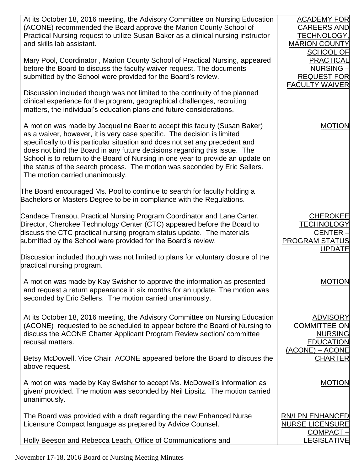| At its October 18, 2016 meeting, the Advisory Committee on Nursing Education<br>(ACONE) recommended the Board approve the Marion County School of<br>Practical Nursing request to utilize Susan Baker as a clinical nursing instructor<br>and skills lab assistant.                                                                                                                                                                                                                                                   | <b>ACADEMY FOR</b><br><b>CAREERS AND</b><br><b>TECHNOLOGY,</b><br><b>MARION COUNTY</b><br><b>SCHOOL OF</b> |
|-----------------------------------------------------------------------------------------------------------------------------------------------------------------------------------------------------------------------------------------------------------------------------------------------------------------------------------------------------------------------------------------------------------------------------------------------------------------------------------------------------------------------|------------------------------------------------------------------------------------------------------------|
| Mary Pool, Coordinator, Marion County School of Practical Nursing, appeared<br>before the Board to discuss the faculty waiver request. The documents<br>submitted by the School were provided for the Board's review.                                                                                                                                                                                                                                                                                                 | <b>PRACTICAL</b><br><b>NURSING</b><br><b>REQUEST FOR</b><br><b>FACULTY WAIVER</b>                          |
| Discussion included though was not limited to the continuity of the planned<br>clinical experience for the program, geographical challenges, recruiting<br>matters, the individual's education plans and future considerations.                                                                                                                                                                                                                                                                                       |                                                                                                            |
| A motion was made by Jacqueline Baer to accept this faculty (Susan Baker)<br>as a waiver, however, it is very case specific. The decision is limited<br>specifically to this particular situation and does not set any precedent and<br>does not bind the Board in any future decisions regarding this issue. The<br>School is to return to the Board of Nursing in one year to provide an update on<br>the status of the search process. The motion was seconded by Eric Sellers.<br>The motion carried unanimously. | <b>MOTION</b>                                                                                              |
| The Board encouraged Ms. Pool to continue to search for faculty holding a<br>Bachelors or Masters Degree to be in compliance with the Regulations.                                                                                                                                                                                                                                                                                                                                                                    |                                                                                                            |
| Candace Transou, Practical Nursing Program Coordinator and Lane Carter,<br>Director, Cherokee Technology Center (CTC) appeared before the Board to<br>discuss the CTC practical nursing program status update. The materials<br>submitted by the School were provided for the Board's review.                                                                                                                                                                                                                         | <b>CHEROKEE</b><br><b>TECHNOLOGY</b><br>CENTER-<br><b>PROGRAM STATUS</b><br><b>UPDATE</b>                  |
| Discussion included though was not limited to plans for voluntary closure of the<br>practical nursing program.                                                                                                                                                                                                                                                                                                                                                                                                        |                                                                                                            |
| A motion was made by Kay Swisher to approve the information as presented<br>and request a return appearance in six months for an update. The motion was<br>seconded by Eric Sellers. The motion carried unanimously.                                                                                                                                                                                                                                                                                                  | <b>MOTION</b>                                                                                              |
| At its October 18, 2016 meeting, the Advisory Committee on Nursing Education<br>(ACONE) requested to be scheduled to appear before the Board of Nursing to<br>discuss the ACONE Charter Applicant Program Review section/committee<br>recusal matters.                                                                                                                                                                                                                                                                | <b>ADVISORY</b><br><b>COMMITTEE ON</b><br><b>NURSING</b><br><b>EDUCATION</b><br>$(ACONE) - ACONE$          |
| Betsy McDowell, Vice Chair, ACONE appeared before the Board to discuss the<br>above request.                                                                                                                                                                                                                                                                                                                                                                                                                          | <b>CHARTER</b>                                                                                             |
| A motion was made by Kay Swisher to accept Ms. McDowell's information as<br>given/ provided. The motion was seconded by Neil Lipsitz. The motion carried<br>unanimously.                                                                                                                                                                                                                                                                                                                                              | <b>MOTION</b>                                                                                              |
| The Board was provided with a draft regarding the new Enhanced Nurse<br>Licensure Compact language as prepared by Advice Counsel.                                                                                                                                                                                                                                                                                                                                                                                     | <b>RN/LPN ENHANCED</b><br><b>NURSE LICENSURE</b><br>$COMPACT -$                                            |
| Holly Beeson and Rebecca Leach, Office of Communications and                                                                                                                                                                                                                                                                                                                                                                                                                                                          | <b>LEGISLATIVE</b>                                                                                         |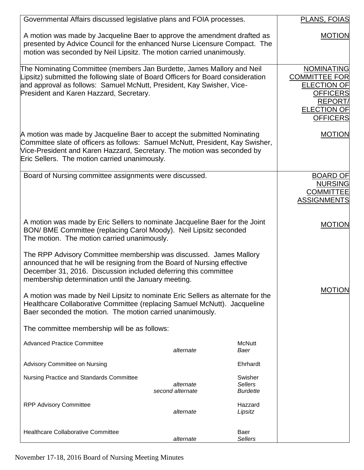| Governmental Affairs discussed legislative plans and FOIA processes.                                                                                                                                                                                                                                                                                       |                               |                                              | PLANS, FOIAS                                                                                                                                  |
|------------------------------------------------------------------------------------------------------------------------------------------------------------------------------------------------------------------------------------------------------------------------------------------------------------------------------------------------------------|-------------------------------|----------------------------------------------|-----------------------------------------------------------------------------------------------------------------------------------------------|
| A motion was made by Jacqueline Baer to approve the amendment drafted as<br>presented by Advice Council for the enhanced Nurse Licensure Compact. The<br>motion was seconded by Neil Lipsitz. The motion carried unanimously.                                                                                                                              |                               |                                              | <b>MOTION</b>                                                                                                                                 |
| The Nominating Committee (members Jan Burdette, James Mallory and Neil<br>Lipsitz) submitted the following slate of Board Officers for Board consideration<br>and approval as follows: Samuel McNutt, President, Kay Swisher, Vice-<br>President and Karen Hazzard, Secretary.                                                                             |                               |                                              | <b>NOMINATING</b><br><b>COMMITTEE FOR</b><br><b>ELECTION OF</b><br><b>OFFICERS</b><br><b>REPORT/</b><br><b>ELECTION OF</b><br><b>OFFICERS</b> |
| A motion was made by Jacqueline Baer to accept the submitted Nominating<br>Committee slate of officers as follows: Samuel McNutt, President, Kay Swisher,<br>Vice-President and Karen Hazzard, Secretary. The motion was seconded by<br>Eric Sellers. The motion carried unanimously.                                                                      |                               |                                              | <b>MOTION</b>                                                                                                                                 |
| Board of Nursing committee assignments were discussed.                                                                                                                                                                                                                                                                                                     |                               |                                              | <b>BOARD OF</b><br><b>NURSING</b><br><b>COMMITTEE</b><br><b>ASSIGNMENTS</b>                                                                   |
| A motion was made by Eric Sellers to nominate Jacqueline Baer for the Joint<br>BON/ BME Committee (replacing Carol Moody). Neil Lipsitz seconded<br>The motion. The motion carried unanimously.                                                                                                                                                            |                               |                                              | <b>MOTION</b>                                                                                                                                 |
| The RPP Advisory Committee membership was discussed. James Mallory<br>announced that he will be resigning from the Board of Nursing effective<br>December 31, 2016. Discussion included deferring this committee<br>membership determination until the January meeting.<br>A motion was made by Neil Lipsitz to nominate Eric Sellers as alternate for the |                               |                                              | <b>MOTION</b>                                                                                                                                 |
| Healthcare Collaborative Committee (replacing Samuel McNutt). Jacqueline<br>Baer seconded the motion. The motion carried unanimously.                                                                                                                                                                                                                      |                               |                                              |                                                                                                                                               |
| The committee membership will be as follows:                                                                                                                                                                                                                                                                                                               |                               |                                              |                                                                                                                                               |
| <b>Advanced Practice Committee</b>                                                                                                                                                                                                                                                                                                                         | alternate                     | <b>McNutt</b><br>Baer                        |                                                                                                                                               |
| Advisory Committee on Nursing                                                                                                                                                                                                                                                                                                                              |                               | Ehrhardt                                     |                                                                                                                                               |
| Nursing Practice and Standards Committee                                                                                                                                                                                                                                                                                                                   | alternate<br>second alternate | Swisher<br><b>Sellers</b><br><b>Burdette</b> |                                                                                                                                               |
| <b>RPP Advisory Committee</b>                                                                                                                                                                                                                                                                                                                              | alternate                     | Hazzard<br>Lipsitz                           |                                                                                                                                               |
| <b>Healthcare Collaborative Committee</b>                                                                                                                                                                                                                                                                                                                  | alternate                     | Baer<br><b>Sellers</b>                       |                                                                                                                                               |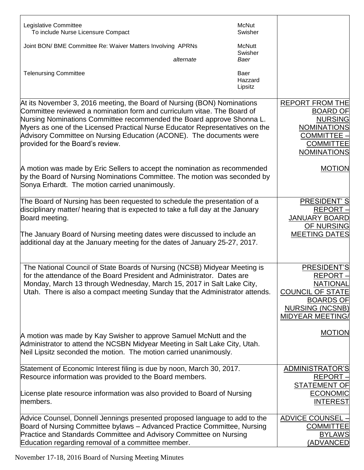| Legislative Committee                                                                                                                                                                                                                                                                                                                                                                                                                                                                                                                | McNut                      |                                                                                                                                                                      |
|--------------------------------------------------------------------------------------------------------------------------------------------------------------------------------------------------------------------------------------------------------------------------------------------------------------------------------------------------------------------------------------------------------------------------------------------------------------------------------------------------------------------------------------|----------------------------|----------------------------------------------------------------------------------------------------------------------------------------------------------------------|
| To include Nurse Licensure Compact                                                                                                                                                                                                                                                                                                                                                                                                                                                                                                   | Swisher                    |                                                                                                                                                                      |
| Joint BON/ BME Committee Re: Waiver Matters Involving APRNs                                                                                                                                                                                                                                                                                                                                                                                                                                                                          | <b>McNutt</b><br>Swisher   |                                                                                                                                                                      |
| alternate                                                                                                                                                                                                                                                                                                                                                                                                                                                                                                                            | Baer                       |                                                                                                                                                                      |
| <b>Telenursing Committee</b>                                                                                                                                                                                                                                                                                                                                                                                                                                                                                                         | Baer<br>Hazzard<br>Lipsitz |                                                                                                                                                                      |
| At its November 3, 2016 meeting, the Board of Nursing (BON) Nominations<br>Committee reviewed a nomination form and curriculum vitae. The Board of<br>Nursing Nominations Committee recommended the Board approve Shonna L.<br>Myers as one of the Licensed Practical Nurse Educator Representatives on the<br>Advisory Committee on Nursing Education (ACONE). The documents were<br>provided for the Board's review.                                                                                                               |                            | <b>REPORT FROM THE</b><br><b>BOARD OF</b><br><b>NURSING</b><br><b>NOMINATIONS</b><br><b>COMMITTEE -</b><br><b>COMMITTEE</b><br><b>NOMINATIONS</b>                    |
| A motion was made by Eric Sellers to accept the nomination as recommended<br>by the Board of Nursing Nominations Committee. The motion was seconded by<br>Sonya Erhardt. The motion carried unanimously.                                                                                                                                                                                                                                                                                                                             |                            | <b>MOTION</b>                                                                                                                                                        |
| The Board of Nursing has been requested to schedule the presentation of a<br>disciplinary matter/ hearing that is expected to take a full day at the January<br>Board meeting.<br>The January Board of Nursing meeting dates were discussed to include an<br>additional day at the January meeting for the dates of January 25-27, 2017.                                                                                                                                                                                             |                            | <b>PRESIDENT'S</b><br>REPORT -<br><b>JANUARY BOARD</b><br><b>OF NURSING</b><br><b>MEETING DATES</b>                                                                  |
| The National Council of State Boards of Nursing (NCSB) Midyear Meeting is<br>for the attendance of the Board President and Administrator. Dates are<br>Monday, March 13 through Wednesday, March 15, 2017 in Salt Lake City,<br>Utah. There is also a compact meeting Sunday that the Administrator attends.<br>A motion was made by Kay Swisher to approve Samuel McNutt and the<br>Administrator to attend the NCSBN Midyear Meeting in Salt Lake City, Utah.<br>Neil Lipsitz seconded the motion. The motion carried unanimously. |                            | PRESIDENT'S<br><b>REPORT</b><br><b>NATIONAL</b><br><b>COUNCIL OF STATE</b><br><b>BOARDS OF</b><br><b>NURSING (NCSNB)</b><br><b>MIDYEAR MEETING/</b><br><b>MOTION</b> |
| Statement of Economic Interest filing is due by noon, March 30, 2017.<br>Resource information was provided to the Board members.<br>License plate resource information was also provided to Board of Nursing<br>members.                                                                                                                                                                                                                                                                                                             |                            | ADMINISTRATOR'S<br>REPORT-<br><b>STATEMENT OF</b><br><b>ECONOMIC</b><br><b>INTEREST</b>                                                                              |
| Advice Counsel, Donnell Jennings presented proposed language to add to the<br>Board of Nursing Committee bylaws – Advanced Practice Committee, Nursing<br>Practice and Standards Committee and Advisory Committee on Nursing<br>Education regarding removal of a committee member.                                                                                                                                                                                                                                                   |                            | <b>ADVICE COUNSEL -</b><br><b>COMMITTEE</b><br><b>BYLAWS</b><br>(ADVANCED                                                                                            |

November 17-18, 2016 Board of Nursing Meeting Minutes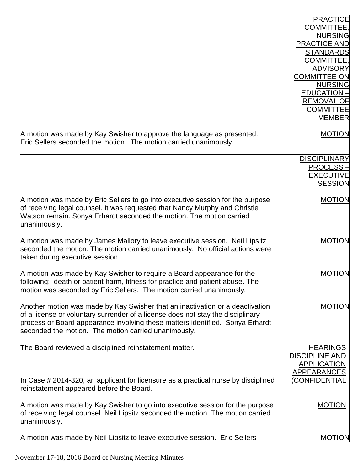|                                                                                                                                                                                                                                                                                                           | <b>PRACTICE</b><br>COMMITTEE,<br><b>NURSING</b><br><b>PRACTICE AND</b><br><b>STANDARDS</b><br>COMMITTEE,<br><b>ADVISORY</b><br><b>COMMITTEE ON</b><br><b>NURSING</b><br><b>EDUCATION -</b><br><b>REMOVAL OF</b><br><b>COMMITTEE</b><br><b>MEMBER</b> |
|-----------------------------------------------------------------------------------------------------------------------------------------------------------------------------------------------------------------------------------------------------------------------------------------------------------|------------------------------------------------------------------------------------------------------------------------------------------------------------------------------------------------------------------------------------------------------|
| A motion was made by Kay Swisher to approve the language as presented.<br>Eric Sellers seconded the motion. The motion carried unanimously.                                                                                                                                                               | <b>MOTION</b>                                                                                                                                                                                                                                        |
|                                                                                                                                                                                                                                                                                                           | <b>DISCIPLINARY</b><br><b>PROCESS-</b><br><b>EXECUTIVE</b><br><b>SESSION</b>                                                                                                                                                                         |
| A motion was made by Eric Sellers to go into executive session for the purpose<br>of receiving legal counsel. It was requested that Nancy Murphy and Christie<br>Watson remain. Sonya Erhardt seconded the motion. The motion carried<br>unanimously.                                                     | <b>MOTION</b>                                                                                                                                                                                                                                        |
| A motion was made by James Mallory to leave executive session. Neil Lipsitz<br>seconded the motion. The motion carried unanimously. No official actions were<br>taken during executive session.                                                                                                           | <b>MOTION</b>                                                                                                                                                                                                                                        |
| A motion was made by Kay Swisher to require a Board appearance for the<br>following: death or patient harm, fitness for practice and patient abuse. The<br>motion was seconded by Eric Sellers. The motion carried unanimously.                                                                           | <b>MOTION</b>                                                                                                                                                                                                                                        |
| Another motion was made by Kay Swisher that an inactivation or a deactivation<br>of a license or voluntary surrender of a license does not stay the disciplinary<br>process or Board appearance involving these matters identified. Sonya Erhardt<br>seconded the motion. The motion carried unanimously. | <b>MOTION</b>                                                                                                                                                                                                                                        |
| The Board reviewed a disciplined reinstatement matter.                                                                                                                                                                                                                                                    | <b>HEARINGS</b><br><b>DISCIPLINE AND</b><br><b>APPLICATION</b><br><b>APPEARANCES</b>                                                                                                                                                                 |
| In Case # 2014-320, an applicant for licensure as a practical nurse by disciplined<br>reinstatement appeared before the Board.                                                                                                                                                                            | (CONFIDENTIAL                                                                                                                                                                                                                                        |
| A motion was made by Kay Swisher to go into executive session for the purpose<br>of receiving legal counsel. Neil Lipsitz seconded the motion. The motion carried<br>unanimously.                                                                                                                         | <b>MOTION</b>                                                                                                                                                                                                                                        |
| A motion was made by Neil Lipsitz to leave executive session. Eric Sellers                                                                                                                                                                                                                                | <b>MOTION</b>                                                                                                                                                                                                                                        |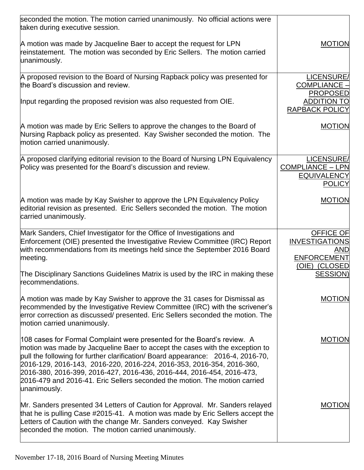| seconded the motion. The motion carried unanimously. No official actions were<br>taken during executive session.                                                                                                                                                                                                                                                                                                                                                                            |                                                                              |
|---------------------------------------------------------------------------------------------------------------------------------------------------------------------------------------------------------------------------------------------------------------------------------------------------------------------------------------------------------------------------------------------------------------------------------------------------------------------------------------------|------------------------------------------------------------------------------|
| A motion was made by Jacqueline Baer to accept the request for LPN<br>reinstatement. The motion was seconded by Eric Sellers. The motion carried<br>unanimously.                                                                                                                                                                                                                                                                                                                            | <b>MOTION</b>                                                                |
| A proposed revision to the Board of Nursing Rapback policy was presented for<br>the Board's discussion and review.                                                                                                                                                                                                                                                                                                                                                                          | LICENSURE/<br>COMPLIANCE -                                                   |
| Input regarding the proposed revision was also requested from OIE.                                                                                                                                                                                                                                                                                                                                                                                                                          | <b>PROPOSED</b><br><b>ADDITION TO</b><br><b>RAPBACK POLICY</b>               |
| A motion was made by Eric Sellers to approve the changes to the Board of<br>Nursing Rapback policy as presented. Kay Swisher seconded the motion. The<br>motion carried unanimously.                                                                                                                                                                                                                                                                                                        | <b>MOTION</b>                                                                |
| A proposed clarifying editorial revision to the Board of Nursing LPN Equivalency<br>Policy was presented for the Board's discussion and review.                                                                                                                                                                                                                                                                                                                                             | LICENSURE/<br><b>COMPLIANCE - LPN</b><br><b>EQUIVALENCY</b><br><b>POLICY</b> |
| A motion was made by Kay Swisher to approve the LPN Equivalency Policy<br>editorial revision as presented. Eric Sellers seconded the motion. The motion<br>carried unanimously.                                                                                                                                                                                                                                                                                                             | <b>MOTION</b>                                                                |
| Mark Sanders, Chief Investigator for the Office of Investigations and<br>Enforcement (OIE) presented the Investigative Review Committee (IRC) Report<br>with recommendations from its meetings held since the September 2016 Board<br>meeting.                                                                                                                                                                                                                                              | <b>OFFICE OF</b><br><b>INVESTIGATIONS</b><br>AND<br><b>ENFORCEMENT</b>       |
| The Disciplinary Sanctions Guidelines Matrix is used by the IRC in making these<br>recommendations.                                                                                                                                                                                                                                                                                                                                                                                         | (OIE) (CLOSED<br>SESSION)                                                    |
| A motion was made by Kay Swisher to approve the 31 cases for Dismissal as<br>recommended by the Investigative Review Committee (IRC) with the scrivener's<br>error correction as discussed/ presented. Eric Sellers seconded the motion. The<br>motion carried unanimously.                                                                                                                                                                                                                 | <b>MOTION</b>                                                                |
| 108 cases for Formal Complaint were presented for the Board's review. A<br>motion was made by Jacqueline Baer to accept the cases with the exception to<br>pull the following for further clarification/ Board appearance: 2016-4, 2016-70,<br>2016-129, 2016-143, 2016-220, 2016-224, 2016-353, 2016-354, 2016-360,<br>2016-380, 2016-399, 2016-427, 2016-436, 2016-444, 2016-454, 2016-473,<br>2016-479 and 2016-41. Eric Sellers seconded the motion. The motion carried<br>unanimously. | <b>MOTION</b>                                                                |
| Mr. Sanders presented 34 Letters of Caution for Approval. Mr. Sanders relayed<br>that he is pulling Case #2015-41. A motion was made by Eric Sellers accept the<br>Letters of Caution with the change Mr. Sanders conveyed. Kay Swisher<br>seconded the motion. The motion carried unanimously.                                                                                                                                                                                             | <b>MOTION</b>                                                                |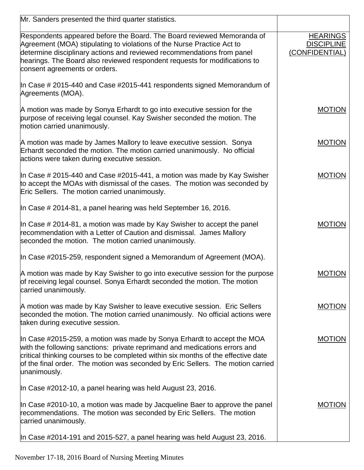| Mr. Sanders presented the third quarter statistics.                                                                                                                                                                                                                                                                                           |                                                        |
|-----------------------------------------------------------------------------------------------------------------------------------------------------------------------------------------------------------------------------------------------------------------------------------------------------------------------------------------------|--------------------------------------------------------|
| Respondents appeared before the Board. The Board reviewed Memoranda of<br>Agreement (MOA) stipulating to violations of the Nurse Practice Act to<br>determine disciplinary actions and reviewed recommendations from panel<br>hearings. The Board also reviewed respondent requests for modifications to<br>consent agreements or orders.     | <b>HEARINGS</b><br><b>DISCIPLINE</b><br>(CONFIDENTIAL) |
| In Case # 2015-440 and Case #2015-441 respondents signed Memorandum of<br>Agreements (MOA).                                                                                                                                                                                                                                                   |                                                        |
| A motion was made by Sonya Erhardt to go into executive session for the<br>purpose of receiving legal counsel. Kay Swisher seconded the motion. The<br>motion carried unanimously.                                                                                                                                                            | <b>MOTION</b>                                          |
| A motion was made by James Mallory to leave executive session. Sonya<br>Erhardt seconded the motion. The motion carried unanimously. No official<br>actions were taken during executive session.                                                                                                                                              | <b>MOTION</b>                                          |
| In Case # 2015-440 and Case #2015-441, a motion was made by Kay Swisher<br>to accept the MOAs with dismissal of the cases. The motion was seconded by<br>Eric Sellers. The motion carried unanimously.                                                                                                                                        | <b>MOTION</b>                                          |
| In Case # 2014-81, a panel hearing was held September 16, 2016.                                                                                                                                                                                                                                                                               |                                                        |
| In Case # 2014-81, a motion was made by Kay Swisher to accept the panel<br>recommendation with a Letter of Caution and dismissal. James Mallory<br>seconded the motion. The motion carried unanimously.                                                                                                                                       | <b>MOTION</b>                                          |
| In Case #2015-259, respondent signed a Memorandum of Agreement (MOA).                                                                                                                                                                                                                                                                         |                                                        |
| A motion was made by Kay Swisher to go into executive session for the purpose<br>of receiving legal counsel. Sonya Erhardt seconded the motion. The motion<br>carried unanimously.                                                                                                                                                            | <b>MOTION</b>                                          |
| A motion was made by Kay Swisher to leave executive session. Eric Sellers<br>seconded the motion. The motion carried unanimously. No official actions were<br>taken during executive session.                                                                                                                                                 | <b>MOTION</b>                                          |
| In Case #2015-259, a motion was made by Sonya Erhardt to accept the MOA<br>with the following sanctions: private reprimand and medications errors and<br>critical thinking courses to be completed within six months of the effective date<br>of the final order. The motion was seconded by Eric Sellers. The motion carried<br>unanimously. | <b>MOTION</b>                                          |
| In Case #2012-10, a panel hearing was held August 23, 2016.                                                                                                                                                                                                                                                                                   |                                                        |
| In Case #2010-10, a motion was made by Jacqueline Baer to approve the panel<br>recommendations. The motion was seconded by Eric Sellers. The motion<br>carried unanimously.                                                                                                                                                                   | <b>MOTION</b>                                          |
| In Case #2014-191 and 2015-527, a panel hearing was held August 23, 2016.                                                                                                                                                                                                                                                                     |                                                        |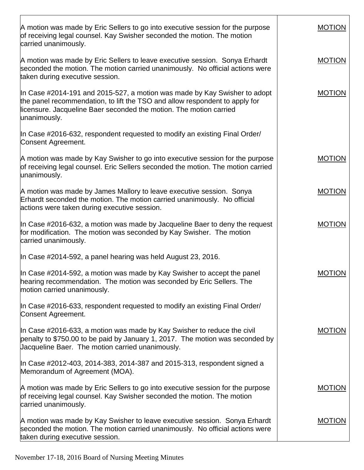| A motion was made by Eric Sellers to go into executive session for the purpose<br>of receiving legal counsel. Kay Swisher seconded the motion. The motion<br>carried unanimously.                                                              | <b>MOTION</b> |
|------------------------------------------------------------------------------------------------------------------------------------------------------------------------------------------------------------------------------------------------|---------------|
| A motion was made by Eric Sellers to leave executive session. Sonya Erhardt<br>seconded the motion. The motion carried unanimously. No official actions were<br>taken during executive session.                                                | <b>MOTION</b> |
| In Case #2014-191 and 2015-527, a motion was made by Kay Swisher to adopt<br>the panel recommendation, to lift the TSO and allow respondent to apply for<br>licensure. Jacqueline Baer seconded the motion. The motion carried<br>unanimously. | <b>MOTION</b> |
| In Case #2016-632, respondent requested to modify an existing Final Order/<br>Consent Agreement.                                                                                                                                               |               |
| A motion was made by Kay Swisher to go into executive session for the purpose<br>of receiving legal counsel. Eric Sellers seconded the motion. The motion carried<br>unanimously.                                                              | <b>MOTION</b> |
| A motion was made by James Mallory to leave executive session. Sonya<br>Erhardt seconded the motion. The motion carried unanimously. No official<br>actions were taken during executive session.                                               | <b>MOTION</b> |
| In Case #2016-632, a motion was made by Jacqueline Baer to deny the request<br>for modification. The motion was seconded by Kay Swisher. The motion<br>carried unanimously.                                                                    | <b>MOTION</b> |
| In Case #2014-592, a panel hearing was held August 23, 2016.                                                                                                                                                                                   |               |
| In Case #2014-592, a motion was made by Kay Swisher to accept the panel<br>hearing recommendation. The motion was seconded by Eric Sellers. The<br>motion carried unanimously.                                                                 | <b>MOTION</b> |
| In Case #2016-633, respondent requested to modify an existing Final Order/<br>Consent Agreement.                                                                                                                                               |               |
| In Case #2016-633, a motion was made by Kay Swisher to reduce the civil<br>penalty to \$750.00 to be paid by January 1, 2017. The motion was seconded by<br>Jacqueline Baer. The motion carried unanimously.                                   | <b>MOTION</b> |
| In Case #2012-403, 2014-383, 2014-387 and 2015-313, respondent signed a<br>Memorandum of Agreement (MOA).                                                                                                                                      |               |
| A motion was made by Eric Sellers to go into executive session for the purpose<br>of receiving legal counsel. Kay Swisher seconded the motion. The motion<br>carried unanimously.                                                              | <b>MOTION</b> |
| A motion was made by Kay Swisher to leave executive session. Sonya Erhardt<br>seconded the motion. The motion carried unanimously. No official actions were<br>taken during executive session.                                                 | <b>MOTION</b> |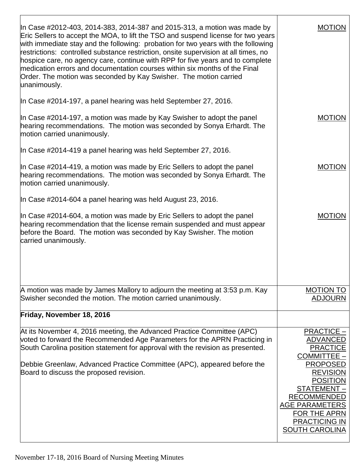| In Case #2012-403, 2014-383, 2014-387 and 2015-313, a motion was made by<br>Eric Sellers to accept the MOA, to lift the TSO and suspend license for two years<br>with immediate stay and the following: probation for two years with the following<br>restrictions: controlled substance restriction, onsite supervision at all times, no<br>hospice care, no agency care, continue with RPP for five years and to complete<br>medication errors and documentation courses within six months of the Final<br>Order. The motion was seconded by Kay Swisher. The motion carried<br>unanimously. | MOTION                                                                                                                                                                                                                                                        |
|------------------------------------------------------------------------------------------------------------------------------------------------------------------------------------------------------------------------------------------------------------------------------------------------------------------------------------------------------------------------------------------------------------------------------------------------------------------------------------------------------------------------------------------------------------------------------------------------|---------------------------------------------------------------------------------------------------------------------------------------------------------------------------------------------------------------------------------------------------------------|
| In Case #2014-197, a panel hearing was held September 27, 2016.                                                                                                                                                                                                                                                                                                                                                                                                                                                                                                                                |                                                                                                                                                                                                                                                               |
| In Case #2014-197, a motion was made by Kay Swisher to adopt the panel<br>hearing recommendations. The motion was seconded by Sonya Erhardt. The<br>motion carried unanimously.                                                                                                                                                                                                                                                                                                                                                                                                                | <b>MOTION</b>                                                                                                                                                                                                                                                 |
| In Case #2014-419 a panel hearing was held September 27, 2016.                                                                                                                                                                                                                                                                                                                                                                                                                                                                                                                                 |                                                                                                                                                                                                                                                               |
| In Case #2014-419, a motion was made by Eric Sellers to adopt the panel<br>hearing recommendations. The motion was seconded by Sonya Erhardt. The<br>motion carried unanimously.                                                                                                                                                                                                                                                                                                                                                                                                               | <b>MOTION</b>                                                                                                                                                                                                                                                 |
| In Case #2014-604 a panel hearing was held August 23, 2016.                                                                                                                                                                                                                                                                                                                                                                                                                                                                                                                                    |                                                                                                                                                                                                                                                               |
| In Case #2014-604, a motion was made by Eric Sellers to adopt the panel<br>hearing recommendation that the license remain suspended and must appear<br>before the Board. The motion was seconded by Kay Swisher. The motion<br>carried unanimously.                                                                                                                                                                                                                                                                                                                                            | <b>MOTION</b>                                                                                                                                                                                                                                                 |
| A motion was made by James Mallory to adjourn the meeting at 3:53 p.m. Kay<br>Swisher seconded the motion. The motion carried unanimously.                                                                                                                                                                                                                                                                                                                                                                                                                                                     | <b>MOTION TO</b><br><b>ADJOURN</b>                                                                                                                                                                                                                            |
| Friday, November 18, 2016                                                                                                                                                                                                                                                                                                                                                                                                                                                                                                                                                                      |                                                                                                                                                                                                                                                               |
| At its November 4, 2016 meeting, the Advanced Practice Committee (APC)<br>voted to forward the Recommended Age Parameters for the APRN Practicing in<br>South Carolina position statement for approval with the revision as presented.<br>Debbie Greenlaw, Advanced Practice Committee (APC), appeared before the<br>Board to discuss the proposed revision.                                                                                                                                                                                                                                   | <b>PRACTICE -</b><br><u>ADVANCED</u><br><b>PRACTICE</b><br><b>COMMITTEE -</b><br><b>PROPOSED</b><br><b>REVISION</b><br><b>POSITION</b><br>STATEMENT-<br><b>RECOMMENDED</b><br>AGE PARAMETERS<br>FOR THE APRN<br><b>PRACTICING IN</b><br><b>SOUTH CAROLINA</b> |

 $\overline{\phantom{a}}$ 

т

 $\Gamma$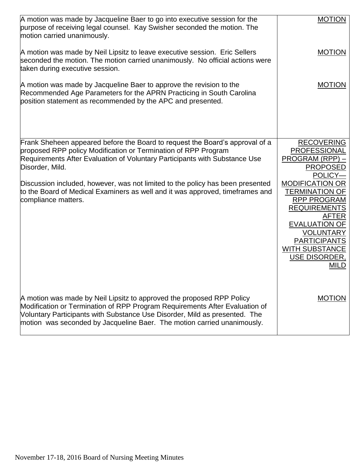| A motion was made by Jacqueline Baer to go into executive session for the<br>purpose of receiving legal counsel. Kay Swisher seconded the motion. The<br>motion carried unanimously.                                                                                                                                                                                                                                                      | <b>MOTION</b>                                                                                                                                                                                                                                                                                                    |
|-------------------------------------------------------------------------------------------------------------------------------------------------------------------------------------------------------------------------------------------------------------------------------------------------------------------------------------------------------------------------------------------------------------------------------------------|------------------------------------------------------------------------------------------------------------------------------------------------------------------------------------------------------------------------------------------------------------------------------------------------------------------|
| A motion was made by Neil Lipsitz to leave executive session. Eric Sellers<br>seconded the motion. The motion carried unanimously. No official actions were<br>taken during executive session.                                                                                                                                                                                                                                            | <b>MOTION</b>                                                                                                                                                                                                                                                                                                    |
| A motion was made by Jacqueline Baer to approve the revision to the<br>Recommended Age Parameters for the APRN Practicing in South Carolina<br>position statement as recommended by the APC and presented.                                                                                                                                                                                                                                | <b>MOTION</b>                                                                                                                                                                                                                                                                                                    |
| Frank Sheheen appeared before the Board to request the Board's approval of a<br>proposed RPP policy Modification or Termination of RPP Program<br>Requirements After Evaluation of Voluntary Participants with Substance Use<br>Disorder, Mild.<br>Discussion included, however, was not limited to the policy has been presented<br>to the Board of Medical Examiners as well and it was approved, timeframes and<br>compliance matters. | <b>RECOVERING</b><br><b>PROFESSIONAL</b><br>PROGRAM (RPP) -<br><b>PROPOSED</b><br>POLICY-<br><b>MODIFICATION OR</b><br>TERMINATION OF<br><b>RPP PROGRAM</b><br><b>REQUIREMENTS</b><br>AFTER<br><b>EVALUATION OF</b><br><b>VOLUNTARY</b><br><b>PARTICIPANTS</b><br><b>WITH SUBSTANCE</b><br>USE DISORDER,<br>MILD |
| A motion was made by Neil Lipsitz to approved the proposed RPP Policy<br>Modification or Termination of RPP Program Requirements After Evaluation of<br>Voluntary Participants with Substance Use Disorder, Mild as presented. The<br>motion was seconded by Jacqueline Baer. The motion carried unanimously.                                                                                                                             | <b>MOTION</b>                                                                                                                                                                                                                                                                                                    |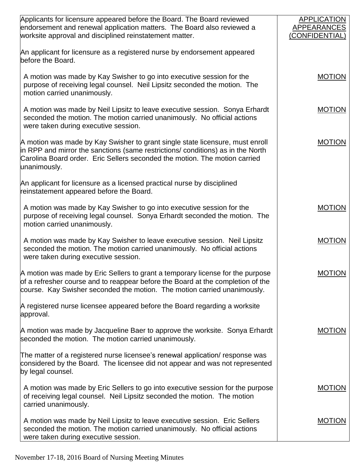| Applicants for licensure appeared before the Board. The Board reviewed<br>endorsement and renewal application matters. The Board also reviewed a<br>worksite approval and disciplined reinstatement matter.                                                    | <b>APPLICATION</b><br><b>APPEARANCES</b><br>(CONFIDENTIAL) |
|----------------------------------------------------------------------------------------------------------------------------------------------------------------------------------------------------------------------------------------------------------------|------------------------------------------------------------|
| An applicant for licensure as a registered nurse by endorsement appeared<br>before the Board.                                                                                                                                                                  |                                                            |
| A motion was made by Kay Swisher to go into executive session for the<br>purpose of receiving legal counsel. Neil Lipsitz seconded the motion. The<br>motion carried unanimously.                                                                              | <b>MOTION</b>                                              |
| A motion was made by Neil Lipsitz to leave executive session. Sonya Erhardt<br>seconded the motion. The motion carried unanimously. No official actions<br>were taken during executive session.                                                                | <b>MOTION</b>                                              |
| A motion was made by Kay Swisher to grant single state licensure, must enroll<br>in RPP and mirror the sanctions (same restrictions/ conditions) as in the North<br>Carolina Board order. Eric Sellers seconded the motion. The motion carried<br>unanimously. | <b>MOTION</b>                                              |
| An applicant for licensure as a licensed practical nurse by disciplined<br>reinstatement appeared before the Board.                                                                                                                                            |                                                            |
| A motion was made by Kay Swisher to go into executive session for the<br>purpose of receiving legal counsel. Sonya Erhardt seconded the motion. The<br>motion carried unanimously.                                                                             | <b>MOTION</b>                                              |
| A motion was made by Kay Swisher to leave executive session. Neil Lipsitz<br>seconded the motion. The motion carried unanimously. No official actions<br>were taken during executive session.                                                                  | <b>MOTION</b>                                              |
| A motion was made by Eric Sellers to grant a temporary license for the purpose<br>of a refresher course and to reappear before the Board at the completion of the<br>course. Kay Swisher seconded the motion. The motion carried unanimously.                  | <b>MOTION</b>                                              |
| A registered nurse licensee appeared before the Board regarding a worksite<br>approval.                                                                                                                                                                        |                                                            |
| A motion was made by Jacqueline Baer to approve the worksite. Sonya Erhardt<br>seconded the motion. The motion carried unanimously.                                                                                                                            | <b>MOTION</b>                                              |
| The matter of a registered nurse licensee's renewal application/ response was<br>considered by the Board. The licensee did not appear and was not represented<br>by legal counsel.                                                                             |                                                            |
| A motion was made by Eric Sellers to go into executive session for the purpose<br>of receiving legal counsel. Neil Lipsitz seconded the motion. The motion<br>carried unanimously.                                                                             | <b>MOTION</b>                                              |
| A motion was made by Neil Lipsitz to leave executive session. Eric Sellers<br>seconded the motion. The motion carried unanimously. No official actions<br>were taken during executive session.                                                                 | <b>MOTION</b>                                              |